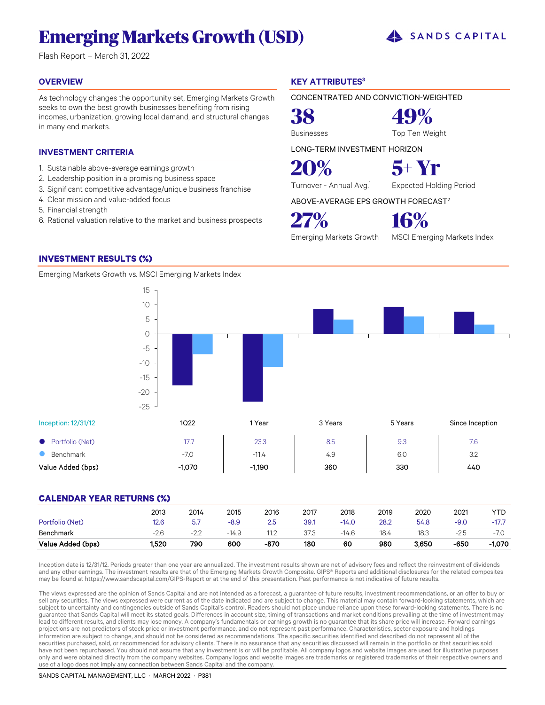# **Emerging Markets Growth (USD)**

Flash Report – March 31, 2022

#### **OVERVIEW**

As technology changes the opportunity set, Emerging Markets Growth seeks to own the best growth businesses benefiting from rising incomes, urbanization, growing local demand, and structural changes in many end markets.

#### **INVESTMENT CRITERIA**

- 1. Sustainable above-average earnings growth
- 2. Leadership position in a promising business space
- 3. Significant competitive advantage/unique business franchise
- 4. Clear mission and value-added focus
- 5. Financial strength
- 6. Rational valuation relative to the market and business prospects

#### **KEY ATTRIBUTES<sup>3</sup>**

CONCENTRATED AND CONVICTION-WEIGHTED

Businesses Top Ten Weight

**38 49%**

**27% 16%**

LONG-TERM INVESTMENT HORIZON

**20% 5+ Yr**

Turnover - Annual Avg.<sup>1</sup> Expected Holding Period

ABOVE-AVERAGE EPS GROWTH FORECAST<sup>2</sup>

Emerging Markets Growth MSCI Emerging Markets Index

#### **INVESTMENT RESULTS (%)**

Emerging Markets Growth vs. MSCI Emerging Markets Index



#### **CALENDAR YEAR RETURNS (%)**

| Portfolio (Net)   | 2013<br>12.6 | 2014<br>5.7 | 2015<br>-8.9 | 2016<br>2.5 | 2017<br>39.1 | 2018<br>$-14.0$ | 2019<br>28.2 | 2020<br>54.8 | 2021<br>$-9.0$ | YTD<br>$-17.7$ |
|-------------------|--------------|-------------|--------------|-------------|--------------|-----------------|--------------|--------------|----------------|----------------|
| <b>Benchmark</b>  | $-2.6$       | $-2.2$      | -14.9        | 112         | 37.3         | -14.6           | 18.4         | 18.3         | $-2.5$         | $-7.0$         |
| Value Added (bps) | 1,520        | 790         | 600          | -870        | 180          | 60              | 980          | 3,650        | -650           | $-1,070$       |

Inception date is 12/31/12. Periods greater than one year are annualized. The investment results shown are net of advisory fees and reflect the reinvestment of dividends and any other earnings. The investment results are that of the Emerging Markets Growth Composite. GIPS® Reports and additional disclosures for the related composites may be found at https://www.sandscapital.com/GIPS-Report or at the end of this presentation. Past performance is not indicative of future results.

The views expressed are the opinion of Sands Capital and are not intended as a forecast, a guarantee of future results, investment recommendations, or an offer to buy or sell any securities. The views expressed were current as of the date indicated and are subject to change. This material may contain forward-looking statements, which are subject to uncertainty and contingencies outside of Sands Capital's control. Readers should not place undue reliance upon these forward-looking statements. There is no guarantee that Sands Capital will meet its stated goals. Differences in account size, timing of transactions and market conditions prevailing at the time of investment may lead to different results, and clients may lose money. A company's fundamentals or earnings growth is no guarantee that its share price will increase. Forward earnings projections are not predictors of stock price or investment performance, and do not represent past performance. Characteristics, sector exposure and holdings information are subject to change, and should not be considered as recommendations. The specific securities identified and described do not represent all of the securities purchased, sold, or recommended for advisory clients. There is no assurance that any securities discussed will remain in the portfolio or that securities sold have not been repurchased. You should not assume that any investment is or will be profitable. All company logos and website images are used for illustrative purposes only and were obtained directly from the company websites. Company logos and website images are trademarks or registered trademarks of their respective owners and use of a logo does not imply any connection between Sands Capital and the company.

#### SANDS CAPITAL MANAGEMENT, LLC · MARCH 2022 · P381

SANDS CAPITAL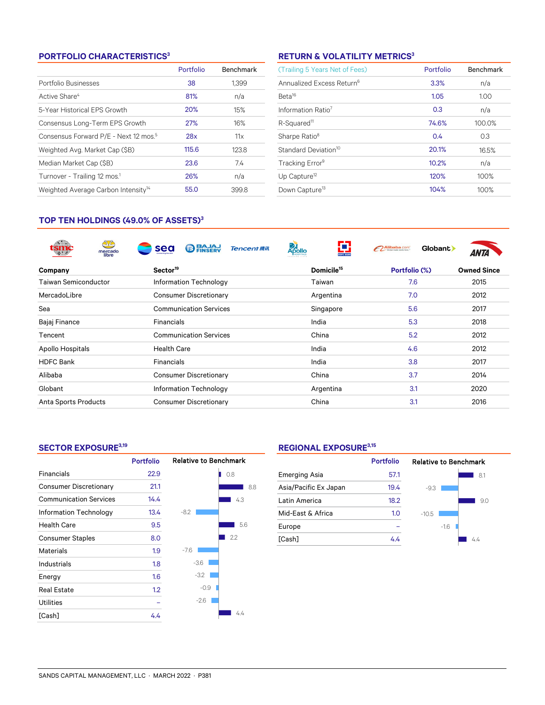#### **PORTFOLIO CHARACTERISTICS<sup>3</sup>**

|                                                   | Portfolio | <b>Benchmark</b> |
|---------------------------------------------------|-----------|------------------|
| Portfolio Businesses                              | 38        | 1.399            |
| Active Share <sup>4</sup>                         | 81%       | n/a              |
| 5-Year Historical EPS Growth                      | 20%       | 15%              |
| Consensus Long-Term EPS Growth                    | 27%       | 16%              |
| Consensus Forward P/E - Next 12 mos. <sup>5</sup> | 28x       | 11x              |
| Weighted Avg. Market Cap (\$B)                    | 115.6     | 123.8            |
| Median Market Cap (\$B)                           | 23.6      | 7.4              |
| Turnover - Trailing 12 mos. <sup>1</sup>          | 26%       | n/a              |
| Weighted Average Carbon Intensity <sup>14</sup>   | 55.0      | 399.8            |

### **RETURN & VOLATILITY METRICS<sup>3</sup>**

| (Trailing 5 Years Net of Fees)        | Portfolio | <b>Benchmark</b> |
|---------------------------------------|-----------|------------------|
| Annualized Excess Return <sup>6</sup> | 3.3%      | n/a              |
| Beta <sup>16</sup>                    | 1.05      | 1.00             |
| Information Ratio <sup>7</sup>        | 0.3       | n/a              |
| R-Squared <sup>11</sup>               | 74.6%     | 100.0%           |
| Sharpe Ratio <sup>8</sup>             | 0.4       | 0.3              |
| Standard Deviation <sup>10</sup>      | 20.1%     | 16.5%            |
| Tracking Error <sup>9</sup>           | 10.2%     | n/a              |
| Up Capture <sup>12</sup>              | 120%      | 100%             |
| Down Capture <sup>13</sup>            | 104%      | 100%             |

#### **TOP TEN HOLDINGS (49.0% OF ASSETS)<sup>3</sup>**

| $\infty$<br>mac<br>mercado  | <b>O</b> FINSERV<br>sea<br><b>Tencent 腾讯</b><br>Apollo | <b>DFC BANK</b>        | <b>ZAlibaba.com</b><br>Globant > |                    |
|-----------------------------|--------------------------------------------------------|------------------------|----------------------------------|--------------------|
| Company                     | Sector <sup>19</sup>                                   | Domicile <sup>15</sup> | Portfolio (%)                    | <b>Owned Since</b> |
| <b>Taiwan Semiconductor</b> | Information Technology                                 | Taiwan                 | 7.6                              | 2015               |
| MercadoLibre                | <b>Consumer Discretionary</b>                          | Argentina              | 7.0                              | 2012               |
| Sea                         | <b>Communication Services</b>                          | Singapore              | 5.6                              | 2017               |
| Bajaj Finance               | <b>Financials</b>                                      | India                  | 5.3                              | 2018               |
| Tencent                     | <b>Communication Services</b>                          | China                  | 5.2                              | 2012               |
| Apollo Hospitals            | <b>Health Care</b>                                     | India                  | 4.6                              | 2012               |
| <b>HDFC Bank</b>            | <b>Financials</b>                                      | India                  | 3.8                              | 2017               |
| Alibaba                     | <b>Consumer Discretionary</b>                          | China                  | 3.7                              | 2014               |
| Globant                     | Information Technology                                 | Argentina              | 3.1                              | 2020               |
| Anta Sports Products        | <b>Consumer Discretionary</b>                          | China                  | 3.1                              | 2016               |

#### **SECTOR EXPOSURE3,19**

|                               | <b>Portfolio</b> | <b>Relative to Benchmark</b> |
|-------------------------------|------------------|------------------------------|
| Financials                    | 22.9             | 0.8                          |
| <b>Consumer Discretionary</b> | 21.1             | 8.8                          |
| <b>Communication Services</b> | 14.4             | 4.3                          |
| Information Technology        | 13.4             | $-8.2$                       |
| <b>Health Care</b>            | 9.5              | 5.6                          |
| <b>Consumer Staples</b>       | 8.0              | 2.2                          |
| <b>Materials</b>              | 1.9              | $-7.6$                       |
| Industrials                   | 1.8              | $-3.6$                       |
| Energy                        | 1.6              | $-3.2$                       |
| <b>Real Estate</b>            | 1.2              | $-0.9$                       |
| <b>Utilities</b>              |                  | $-2.6$                       |
| [Cash]                        | 4.4              | 4.4                          |

### **REGIONAL EXPOSURE3,15**

|                       | <b>Portfolio</b> | <b>Relative to Benchmark</b> |        |  |     |  |  |
|-----------------------|------------------|------------------------------|--------|--|-----|--|--|
| <b>Emerging Asia</b>  | 57.1             |                              |        |  | 8.1 |  |  |
| Asia/Pacific Ex Japan | 19.4             | $-9.3$                       |        |  |     |  |  |
| Latin America         | 18.2             |                              |        |  | 90  |  |  |
| Mid-East & Africa     | 1.0              | $-10.5$                      |        |  |     |  |  |
| Europe                |                  |                              | $-1.6$ |  |     |  |  |
| [Cash]                | 44               |                              |        |  |     |  |  |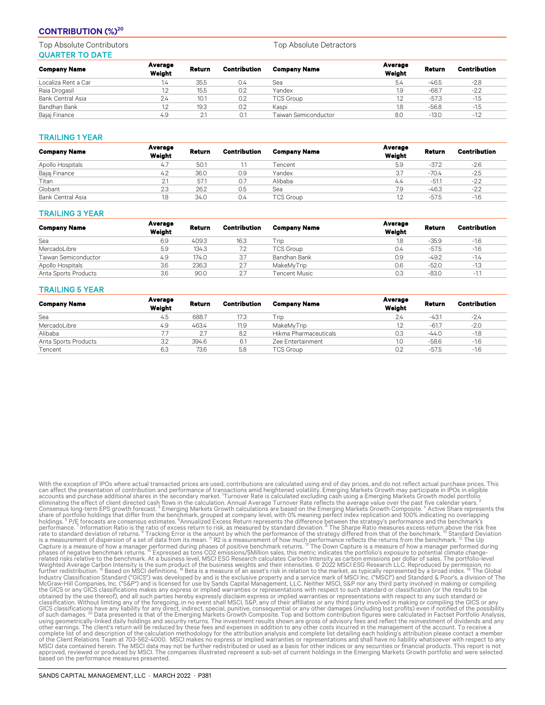#### **CONTRIBUTION (%)<sup>20</sup>**

Top Absolute Contributors Top Absolute Detractors QUARTER TO DATE

| <b>Company Name</b> | Average<br>Weight | Return | Contribution | <b>Company Name</b>  | Average<br>Weight | <b>Return</b> | Contribution |
|---------------------|-------------------|--------|--------------|----------------------|-------------------|---------------|--------------|
| Localiza Rent a Car | 1.4               | 35.5   | 0.4          | Sea                  | 5.4               | $-46.5$       | $-2.8$       |
| Raia Drogasil       | 1.2               | 15.5   | 0.2          | Yandex               | 1.9               | $-68.7$       | $-2.2$       |
| Bank Central Asia   | 2.4               | 10.1   | 0.2          | <b>TCS Group</b>     | 12                | $-57.3$       | $-1.5$       |
| Bandhan Bank        | 1.2               | 19.3   | 0.2          | Kaspi                | 1.8               | $-56.8$       | $-1.5$       |
| Bajaj Finance       | 4.9               | 2.1    | 0.1          | Taiwan Semiconductor | 8.0               | $-13.0$       | $-1.2$       |

#### TRAILING 1 YEAR

| <b>Company Name</b> | Average<br>Weight | Return | Contribution | <b>Company Name</b> | Average<br>Weight | Return  | <b>Contribution</b> |
|---------------------|-------------------|--------|--------------|---------------------|-------------------|---------|---------------------|
| Apollo Hospitals    | 4.7               | 50.1   |              | Tencent             | 5.9               | $-37.2$ | $-2.6$              |
| Bajaj Finance       | 4.2               | 36.0   | 0.9          | Yandex              | 3.7               | $-70.4$ | $-2.5$              |
| Titan               | 2.1               | 57.1   | -0.7         | Alibaba             | 4.4               | $-51.1$ | $-2.2$              |
| Globant             | 2.3               | 26.2   | 0.5          | Sea                 | 7.9               | $-46.3$ | $-2.2$              |
| Bank Central Asia   | 1.8               | 34.0   | 0.4          | <b>TCS Group</b>    |                   | $-57.5$ | $-1.6$              |

#### TRAILING 3 YEAR

| <b>Company Name</b>         | Average<br>Weight | Return | <b>Contribution</b> | <b>Company Name</b> | Average<br>Weight | Return  | <b>Contribution</b> |
|-----------------------------|-------------------|--------|---------------------|---------------------|-------------------|---------|---------------------|
| Sea                         | 6.9               | 409.3  | 16.3                | Trip                | 1.8               | $-35.9$ | $-1.6$              |
| MercadoLibre                | 5.9               | 134.3  |                     | <b>TCS Group</b>    | 0.4               | $-57.5$ | $-1.6$              |
| <b>Taiwan Semiconductor</b> | 4.9               | 174.0  | 3.7                 | Bandhan Bank        | 0.9               | $-49.2$ | $-1.4$              |
| Apollo Hospitals            | 3.6               | 236.3  | -27                 | MakeMvTrip          | 0.6               | $-52.0$ | $-1.3$              |
| Anta Sports Products        | 3.6               | 90.0   | -2.7                | Tencent Music       | 0.3               | $-83.0$ | $-1.1$              |

#### TRAILING 5 YEAR

| <b>Company Name</b>  | Average<br>Weight | Return | <b>Contribution</b> | <b>Company Name</b>   |     | Return  | <b>Contribution</b> |
|----------------------|-------------------|--------|---------------------|-----------------------|-----|---------|---------------------|
| Sea                  | 4.5               | 688.7  | 17.3                | Trip                  | 2.4 | $-43.1$ | $-2.4$              |
| MercadoLibre         | 4.9               | 463.4  | 11.9                | MakeMvTrip            | 1つ  | $-61.7$ | $-2.0$              |
| Alibaba              |                   | 2.7    | 8.2                 | Hikma Pharmaceuticals | 0.3 | -44.0   | $-1.8$              |
| Anta Sports Products | 3.2               | 394.6  | 6.1                 | Zee Entertainment     | 1.0 | $-58.6$ | $-1.6$              |
| Tencent              | 6.3               | 73.6   | 5.8                 | <b>TCS Group</b>      | 0.2 | $-57.5$ | $-1.6$              |

With the exception of IPOs where actual transacted prices are used, contributions are calculated using end of day prices, and do not reflect actual purchase prices. This can affect the presentation of contribution and performance of transactions amid heightened volatility. Emerging Markets Growth may participate in IPOs in eligible<br>accounts and purchase additional shares in the secondary m Consensus long-term EPS growth forecast.<sup>3</sup> Emerging Markets Growth calculations are based on the Emerging Markets Growth Composite.<sup>4</sup> Active Share represents the share of portfolio holdings that differ from the benchmark related risks relative to the benchmark. At a business level, MSCI ESG Research calculates Carbon Intensity as carbon emissions per dollar of sales. The portfolio-level<br>Weighted Average Carbon Intensity is the sum product obtained by the use thereof), and all such parties hereby expressly disclaim express or implied warranties or representations with respect to any such standard or<br>classification. Without limiting any of the foregoing, in n complete list of and description of the calculation methodology for the attribution analysis and complete list detailing each holding's attribution please contact a member<br>of the Client Relations Team at 703-562-4000. MSCI approved, reviewed or produced by MSCI. The companies illustrated represent a sub-set of current holdings in the Emerging Markets Growth portfolio and were selected based on the performance measures presented.